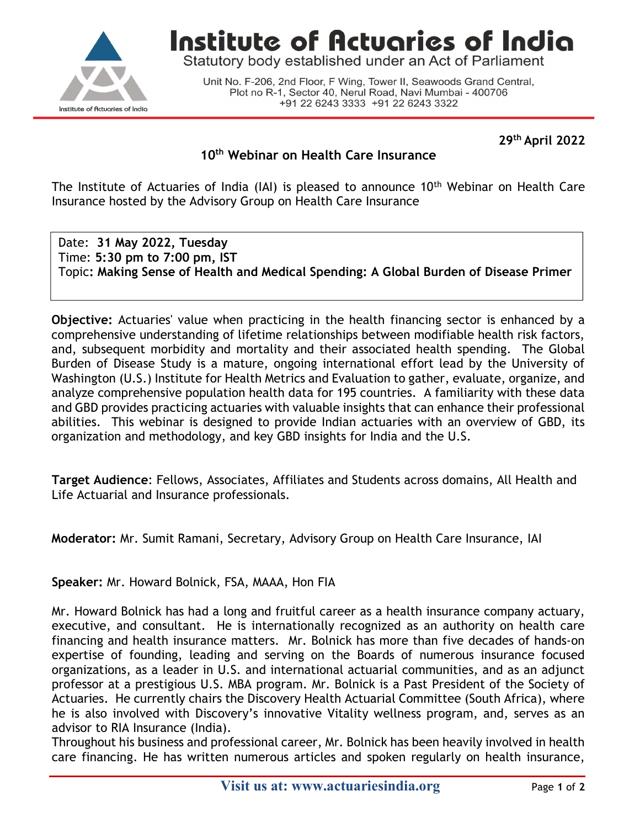

Institute of Actuaries of India

Statutory body established under an Act of Parliament

Unit No. F-206, 2nd Floor, F Wing, Tower II, Seawoods Grand Central, Plot no R-1, Sector 40, Nerul Road, Navi Mumbai - 400706 +91 22 6243 3333 +91 22 6243 3322

29th April 2022

## 10<sup>th</sup> Webinar on Health Care Insurance

The Institute of Actuaries of India (IAI) is pleased to announce 10<sup>th</sup> Webinar on Health Care Insurance hosted by the Advisory Group on Health Care Insurance

Date: 31 May 2022, Tuesday Time: 5:30 pm to 7:00 pm, IST Topic: Making Sense of Health and Medical Spending: A Global Burden of Disease Primer

Objective: Actuaries' value when practicing in the health financing sector is enhanced by a comprehensive understanding of lifetime relationships between modifiable health risk factors, and, subsequent morbidity and mortality and their associated health spending. The Global Burden of Disease Study is a mature, ongoing international effort lead by the University of Washington (U.S.) Institute for Health Metrics and Evaluation to gather, evaluate, organize, and analyze comprehensive population health data for 195 countries. A familiarity with these data and GBD provides practicing actuaries with valuable insights that can enhance their professional abilities. This webinar is designed to provide Indian actuaries with an overview of GBD, its organization and methodology, and key GBD insights for India and the U.S.

Target Audience: Fellows, Associates, Affiliates and Students across domains, All Health and Life Actuarial and Insurance professionals.

Moderator: Mr. Sumit Ramani, Secretary, Advisory Group on Health Care Insurance, IAI

Speaker: Mr. Howard Bolnick, FSA, MAAA, Hon FIA

Mr. Howard Bolnick has had a long and fruitful career as a health insurance company actuary, executive, and consultant. He is internationally recognized as an authority on health care financing and health insurance matters. Mr. Bolnick has more than five decades of hands-on expertise of founding, leading and serving on the Boards of numerous insurance focused organizations, as a leader in U.S. and international actuarial communities, and as an adjunct professor at a prestigious U.S. MBA program. Mr. Bolnick is a Past President of the Society of Actuaries. He currently chairs the Discovery Health Actuarial Committee (South Africa), where he is also involved with Discovery's innovative Vitality wellness program, and, serves as an advisor to RIA Insurance (India).

Throughout his business and professional career, Mr. Bolnick has been heavily involved in health care financing. He has written numerous articles and spoken regularly on health insurance,